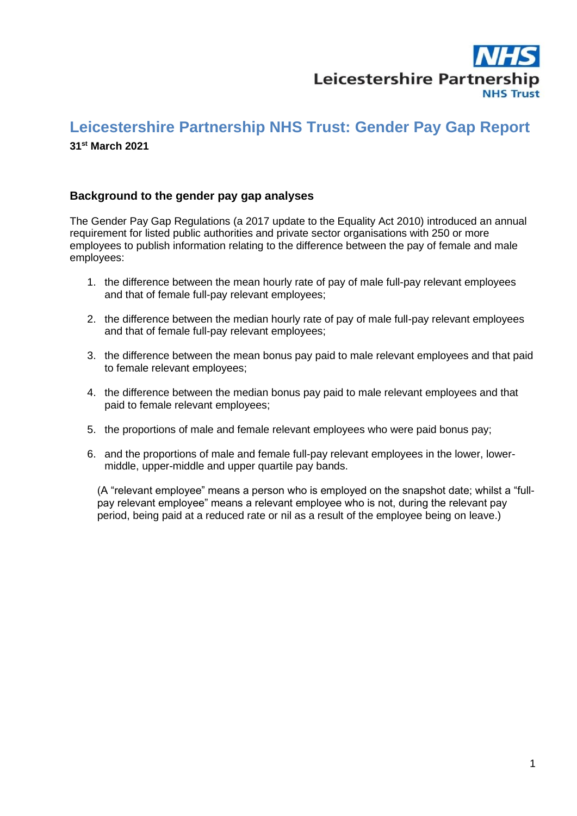

# **Leicestershire Partnership NHS Trust: Gender Pay Gap Report**

## **31 st March 2021**

### **Background to the gender pay gap analyses**

The Gender Pay Gap Regulations (a 2017 update to the Equality Act 2010) introduced an annual requirement for listed public authorities and private sector organisations with 250 or more employees to publish information relating to the difference between the pay of female and male employees:

- 1. the difference between the mean hourly rate of pay of male full-pay relevant employees and that of female full-pay relevant employees;
- 2. the difference between the median hourly rate of pay of male full-pay relevant employees and that of female full-pay relevant employees;
- 3. the difference between the mean bonus pay paid to male relevant employees and that paid to female relevant employees;
- 4. the difference between the median bonus pay paid to male relevant employees and that paid to female relevant employees;
- 5. the proportions of male and female relevant employees who were paid bonus pay;
- 6. and the proportions of male and female full-pay relevant employees in the lower, lowermiddle, upper-middle and upper quartile pay bands.

(A "relevant employee" means a person who is employed on the snapshot date; whilst a "fullpay relevant employee" means a relevant employee who is not, during the relevant pay period, being paid at a reduced rate or nil as a result of the employee being on leave.)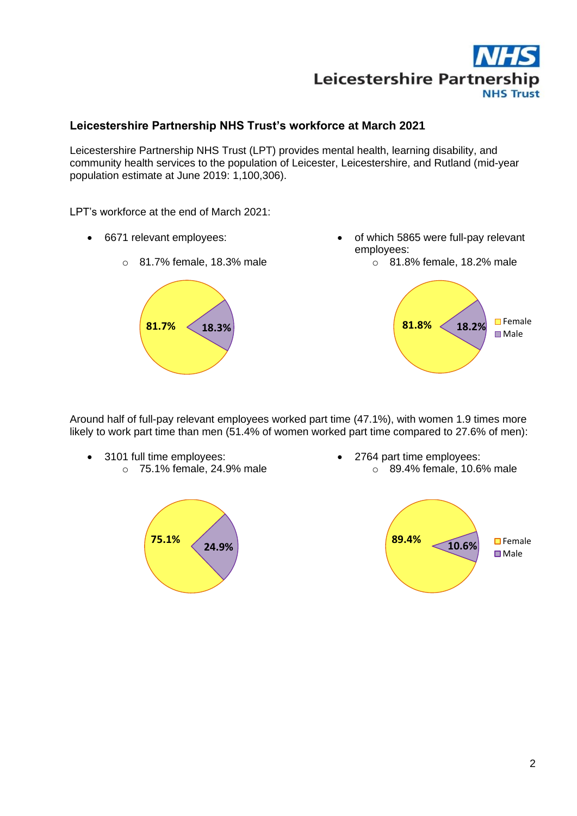

# **Leicestershire Partnership NHS Trust's workforce at March 2021**

Leicestershire Partnership NHS Trust (LPT) provides mental health, learning disability, and community health services to the population of Leicester, Leicestershire, and Rutland (mid-year population estimate at June 2019: 1,100,306).

LPT's workforce at the end of March 2021:

- 6671 relevant employees:
	-

o 81.7% female, 18.3% male

- of which 5865 were full-pay relevant employees:
	- o 81.8% female, 18.2% male



Around half of full-pay relevant employees worked part time (47.1%), with women 1.9 times more likely to work part time than men (51.4% of women worked part time compared to 27.6% of men):

• 3101 full time employees: o 75.1% female, 24.9% male



• 2764 part time employees: o 89.4% female, 10.6% male

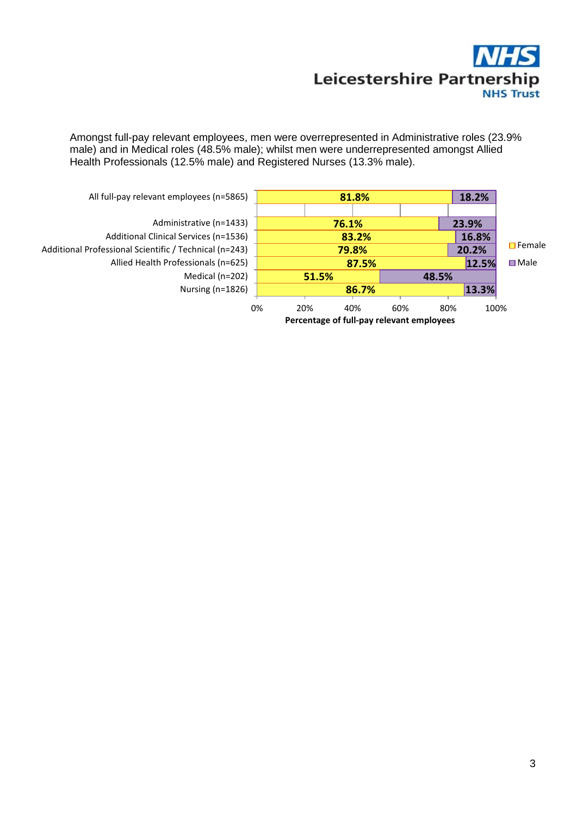

Amongst full-pay relevant employees, men were overrepresented in Administrative roles (23.9% male) and in Medical roles (48.5% male); whilst men were underrepresented amongst Allied Health Professionals (12.5% male) and Registered Nurses (13.3% male).

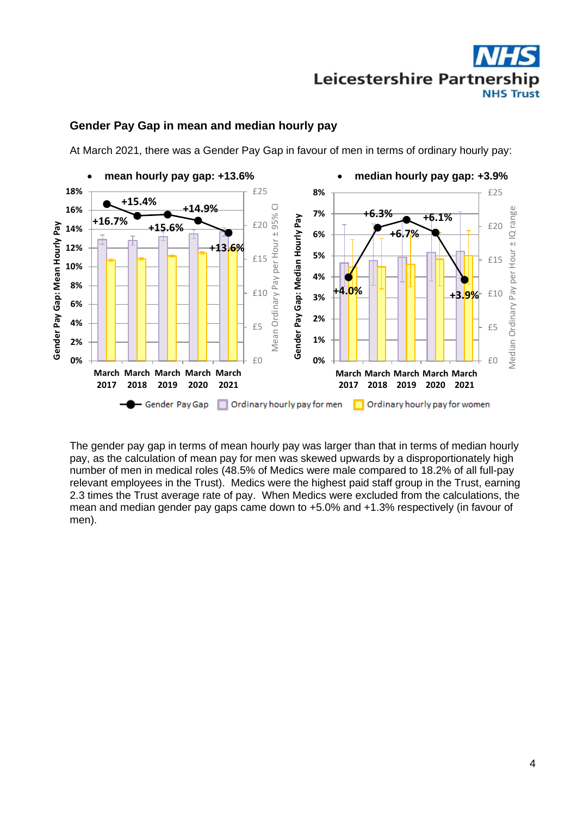

### **Gender Pay Gap in mean and median hourly pay**

At March 2021, there was a Gender Pay Gap in favour of men in terms of ordinary hourly pay:



The gender pay gap in terms of mean hourly pay was larger than that in terms of median hourly pay, as the calculation of mean pay for men was skewed upwards by a disproportionately high number of men in medical roles (48.5% of Medics were male compared to 18.2% of all full-pay relevant employees in the Trust). Medics were the highest paid staff group in the Trust, earning 2.3 times the Trust average rate of pay. When Medics were excluded from the calculations, the mean and median gender pay gaps came down to +5.0% and +1.3% respectively (in favour of men).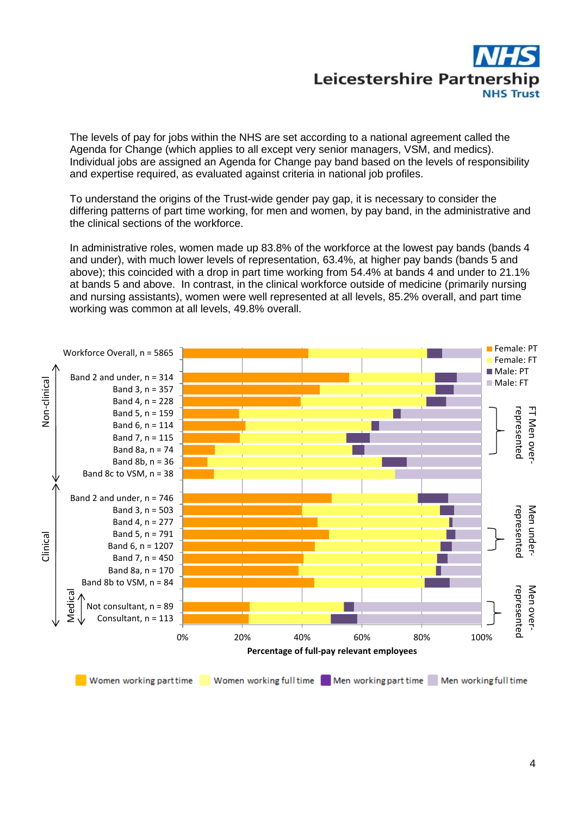

The levels of pay for jobs within the NHS are set according to a national agreement called the Agenda for Change (which applies to all except very senior managers, VSM, and medics). Individual jobs are assigned an Agenda for Change pay band based on the levels of responsibility and expertise required, as evaluated against criteria in national job profiles.

To understand the origins of the Trust-wide gender pay gap, it is necessary to consider the differing patterns of part time working, for men and women, by pay band, in the administrative and the clinical sections of the workforce.

In administrative roles, women made up 83.8% of the workforce at the lowest pay bands (bands 4 and under), with much lower levels of representation, 63.4%, at higher pay bands (bands 5 and above); this coincided with a drop in part time working from 54.4% at bands 4 and under to 21.1% at bands 5 and above. In contrast, in the clinical workforce outside of medicine (primarily nursing and nursing assistants), women were well represented at all levels, 85.2% overall, and part time working was common at all levels, 49.8% overall.

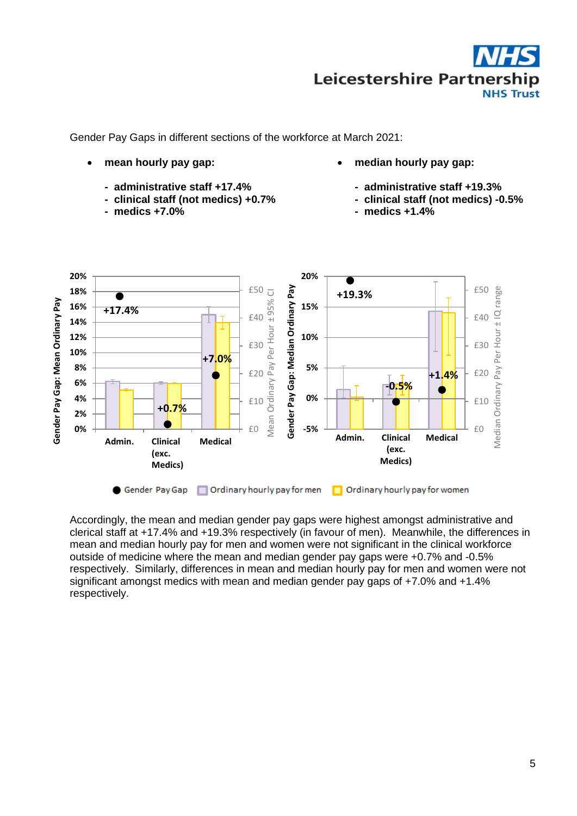

Gender Pay Gaps in different sections of the workforce at March 2021:

- **mean hourly pay gap:**
	- **administrative staff +17.4%**
	- **clinical staff (not medics) +0.7%**
	- **medics +7.0%**
- **median hourly pay gap:**
	- **administrative staff +19.3%**
	- **clinical staff (not medics) -0.5%**
	- **medics +1.4%**



Accordingly, the mean and median gender pay gaps were highest amongst administrative and clerical staff at +17.4% and +19.3% respectively (in favour of men). Meanwhile, the differences in mean and median hourly pay for men and women were not significant in the clinical workforce outside of medicine where the mean and median gender pay gaps were +0.7% and -0.5% respectively. Similarly, differences in mean and median hourly pay for men and women were not significant amongst medics with mean and median gender pay gaps of +7.0% and +1.4% respectively.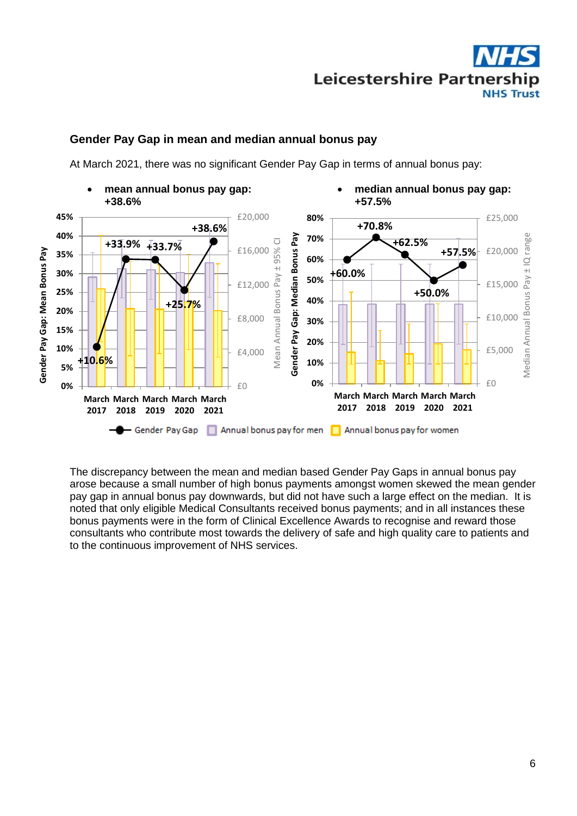

## **Gender Pay Gap in mean and median annual bonus pay**

At March 2021, there was no significant Gender Pay Gap in terms of annual bonus pay:



The discrepancy between the mean and median based Gender Pay Gaps in annual bonus pay arose because a small number of high bonus payments amongst women skewed the mean gender pay gap in annual bonus pay downwards, but did not have such a large effect on the median. It is noted that only eligible Medical Consultants received bonus payments; and in all instances these bonus payments were in the form of Clinical Excellence Awards to recognise and reward those consultants who contribute most towards the delivery of safe and high quality care to patients and to the continuous improvement of NHS services.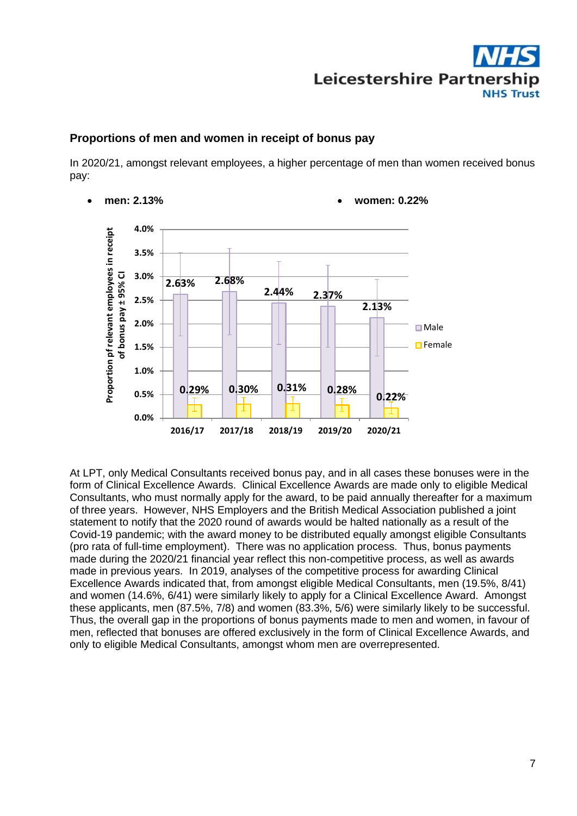

### **Proportions of men and women in receipt of bonus pay**

In 2020/21, amongst relevant employees, a higher percentage of men than women received bonus pay:



At LPT, only Medical Consultants received bonus pay, and in all cases these bonuses were in the form of Clinical Excellence Awards. Clinical Excellence Awards are made only to eligible Medical Consultants, who must normally apply for the award, to be paid annually thereafter for a maximum of three years. However, NHS Employers and the British Medical Association published a joint statement to notify that the 2020 round of awards would be halted nationally as a result of the Covid-19 pandemic; with the award money to be distributed equally amongst eligible Consultants (pro rata of full-time employment). There was no application process. Thus, bonus payments made during the 2020/21 financial year reflect this non-competitive process, as well as awards made in previous years. In 2019, analyses of the competitive process for awarding Clinical Excellence Awards indicated that, from amongst eligible Medical Consultants, men (19.5%, 8/41) and women (14.6%, 6/41) were similarly likely to apply for a Clinical Excellence Award. Amongst these applicants, men (87.5%, 7/8) and women (83.3%, 5/6) were similarly likely to be successful. Thus, the overall gap in the proportions of bonus payments made to men and women, in favour of men, reflected that bonuses are offered exclusively in the form of Clinical Excellence Awards, and only to eligible Medical Consultants, amongst whom men are overrepresented.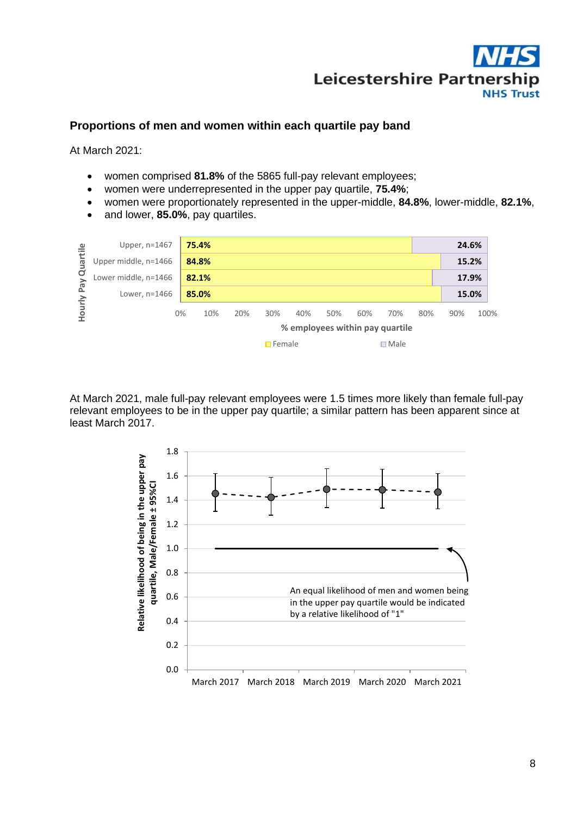

# **Proportions of men and women within each quartile pay band**

At March 2021:

- women comprised **81.8%** of the 5865 full-pay relevant employees;
- women were underrepresented in the upper pay quartile, **75.4%**;
- women were proportionately represented in the upper-middle, **84.8%**, lower-middle, **82.1%**,
- and lower, **85.0%**, pay quartiles.

| Quartile<br>Pay<br>Hourly | Upper, $n=1467$      |    | 75.4%                           |     |     |     |     |                |     |     | 24.6% |      |  |
|---------------------------|----------------------|----|---------------------------------|-----|-----|-----|-----|----------------|-----|-----|-------|------|--|
|                           | Upper middle, n=1466 |    | 84.8%                           |     |     |     |     |                |     |     | 15.2% |      |  |
|                           | Lower middle, n=1466 |    | 82.1%                           |     |     |     |     |                |     |     | 17.9% |      |  |
|                           | Lower, n=1466        |    | 85.0%                           |     |     |     |     |                |     |     | 15.0% |      |  |
|                           |                      | 0% | 10%                             | 20% | 30% | 40% | 50% | 60%            | 70% | 80% | 90%   | 100% |  |
|                           |                      |    | % employees within pay quartile |     |     |     |     |                |     |     |       |      |  |
|                           |                      |    | $\Box$ Female                   |     |     |     |     | $\square$ Male |     |     |       |      |  |

At March 2021, male full-pay relevant employees were 1.5 times more likely than female full-pay relevant employees to be in the upper pay quartile; a similar pattern has been apparent since at least March 2017.

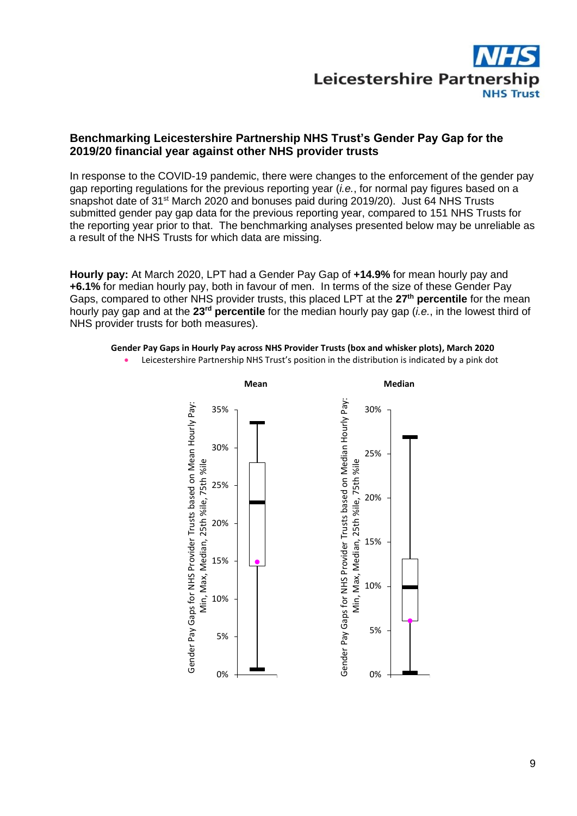

# **Benchmarking Leicestershire Partnership NHS Trust's Gender Pay Gap for the 2019/20 financial year against other NHS provider trusts**

In response to the COVID-19 pandemic, there were changes to the enforcement of the gender pay gap reporting regulations for the previous reporting year (*i.e.*, for normal pay figures based on a snapshot date of 31st March 2020 and bonuses paid during 2019/20). Just 64 NHS Trusts submitted gender pay gap data for the previous reporting year, compared to 151 NHS Trusts for the reporting year prior to that. The benchmarking analyses presented below may be unreliable as a result of the NHS Trusts for which data are missing.

**Hourly pay:** At March 2020, LPT had a Gender Pay Gap of **+14.9%** for mean hourly pay and **+6.1%** for median hourly pay, both in favour of men. In terms of the size of these Gender Pay Gaps, compared to other NHS provider trusts, this placed LPT at the **27th percentile** for the mean hourly pay gap and at the 23<sup>rd</sup> percentile for the median hourly pay gap (*i.e.*, in the lowest third of NHS provider trusts for both measures).

#### **Gender Pay Gaps in Hourly Pay across NHS Provider Trusts (box and whisker plots), March 2020**

• Leicestershire Partnership NHS Trust's position in the distribution is indicated by a pink dot

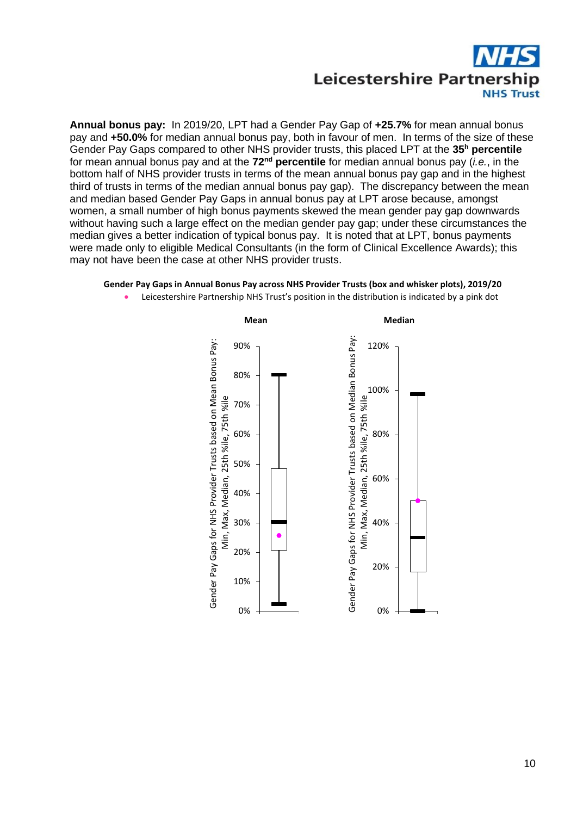

**Annual bonus pay:** In 2019/20, LPT had a Gender Pay Gap of **+25.7%** for mean annual bonus pay and **+50.0%** for median annual bonus pay, both in favour of men. In terms of the size of these Gender Pay Gaps compared to other NHS provider trusts, this placed LPT at the **35<sup>h</sup> percentile** for mean annual bonus pay and at the 72<sup>nd</sup> percentile for median annual bonus pay (*i.e.*, in the bottom half of NHS provider trusts in terms of the mean annual bonus pay gap and in the highest third of trusts in terms of the median annual bonus pay gap). The discrepancy between the mean and median based Gender Pay Gaps in annual bonus pay at LPT arose because, amongst women, a small number of high bonus payments skewed the mean gender pay gap downwards without having such a large effect on the median gender pay gap; under these circumstances the median gives a better indication of typical bonus pay. It is noted that at LPT, bonus payments were made only to eligible Medical Consultants (in the form of Clinical Excellence Awards); this may not have been the case at other NHS provider trusts.

#### **Gender Pay Gaps in Annual Bonus Pay across NHS Provider Trusts (box and whisker plots), 2019/20**

- **Mean Median** Gender Pay Gaps for NHS Provider Trusts based on Median Bonus Pay: Gender Pay Gaps for NHS Provider Trusts based on Median Bonus Pay Gender Pay Gaps for NHS Provider Trusts based on Mean Bonus Pay: Gender Pay Gaps for NHS Provider Trusts based on Mean Bonus Pay: 90% 120% 80% 100% Min, Max, Median, 25th %ile, 75th %ile Min, Max, Median, 25th %ile, 75th %ile Min, Max, Median, 25th %ile, 75th %ile70% 60% 80% 50% 60% 40% 30% 40% 20% 20% 10% 0% 0%
- Leicestershire Partnership NHS Trust's position in the distribution is indicated by a pink dot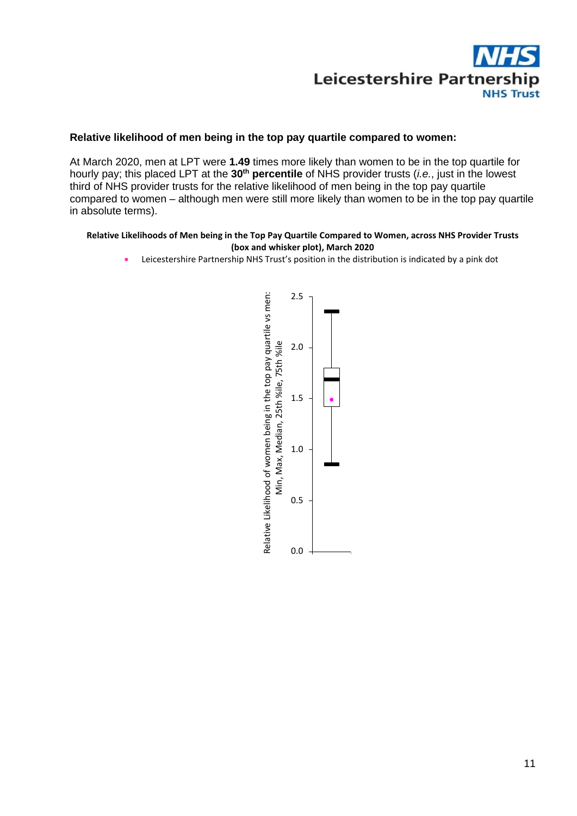

#### **Relative likelihood of men being in the top pay quartile compared to women:**

At March 2020, men at LPT were **1.49** times more likely than women to be in the top quartile for hourly pay; this placed LPT at the 30<sup>th</sup> percentile of NHS provider trusts (*i.e.*, just in the lowest third of NHS provider trusts for the relative likelihood of men being in the top pay quartile compared to women – although men were still more likely than women to be in the top pay quartile in absolute terms).

#### **Relative Likelihoods of Men being in the Top Pay Quartile Compared to Women, across NHS Provider Trusts (box and whisker plot), March 2020**

• Leicestershire Partnership NHS Trust's position in the distribution is indicated by a pink dot

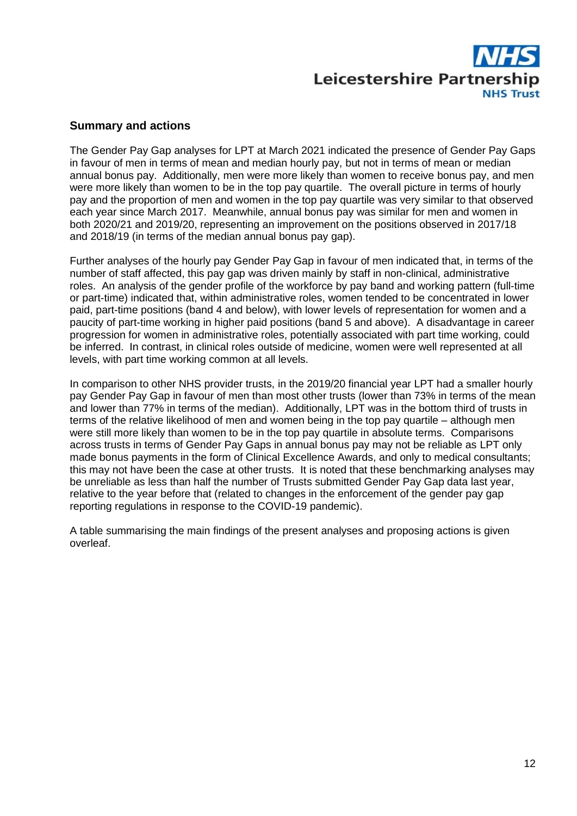

### **Summary and actions**

The Gender Pay Gap analyses for LPT at March 2021 indicated the presence of Gender Pay Gaps in favour of men in terms of mean and median hourly pay, but not in terms of mean or median annual bonus pay. Additionally, men were more likely than women to receive bonus pay, and men were more likely than women to be in the top pay quartile. The overall picture in terms of hourly pay and the proportion of men and women in the top pay quartile was very similar to that observed each year since March 2017. Meanwhile, annual bonus pay was similar for men and women in both 2020/21 and 2019/20, representing an improvement on the positions observed in 2017/18 and 2018/19 (in terms of the median annual bonus pay gap).

Further analyses of the hourly pay Gender Pay Gap in favour of men indicated that, in terms of the number of staff affected, this pay gap was driven mainly by staff in non-clinical, administrative roles. An analysis of the gender profile of the workforce by pay band and working pattern (full-time or part-time) indicated that, within administrative roles, women tended to be concentrated in lower paid, part-time positions (band 4 and below), with lower levels of representation for women and a paucity of part-time working in higher paid positions (band 5 and above). A disadvantage in career progression for women in administrative roles, potentially associated with part time working, could be inferred. In contrast, in clinical roles outside of medicine, women were well represented at all levels, with part time working common at all levels.

In comparison to other NHS provider trusts, in the 2019/20 financial year LPT had a smaller hourly pay Gender Pay Gap in favour of men than most other trusts (lower than 73% in terms of the mean and lower than 77% in terms of the median). Additionally, LPT was in the bottom third of trusts in terms of the relative likelihood of men and women being in the top pay quartile – although men were still more likely than women to be in the top pay quartile in absolute terms. Comparisons across trusts in terms of Gender Pay Gaps in annual bonus pay may not be reliable as LPT only made bonus payments in the form of Clinical Excellence Awards, and only to medical consultants; this may not have been the case at other trusts. It is noted that these benchmarking analyses may be unreliable as less than half the number of Trusts submitted Gender Pay Gap data last year, relative to the year before that (related to changes in the enforcement of the gender pay gap reporting regulations in response to the COVID-19 pandemic).

A table summarising the main findings of the present analyses and proposing actions is given overleaf.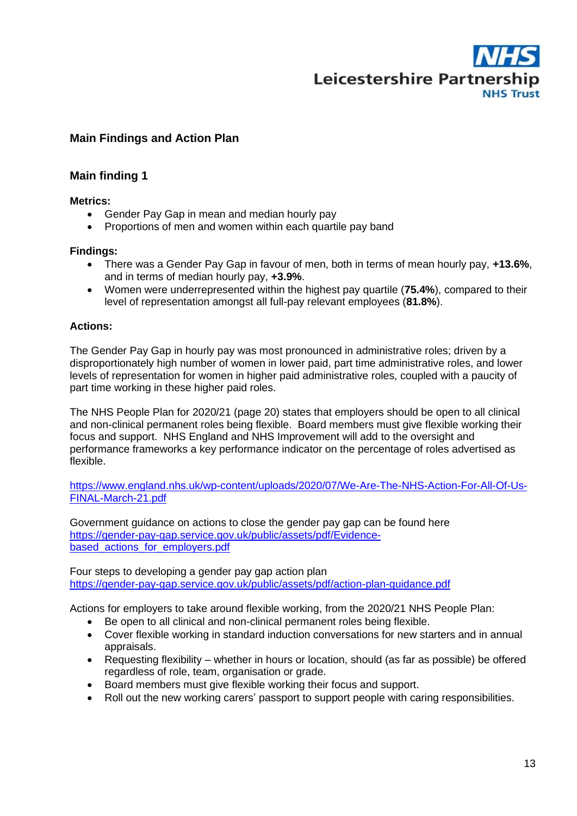

# **Main Findings and Action Plan**

# **Main finding 1**

#### **Metrics:**

- Gender Pay Gap in mean and median hourly pay
- Proportions of men and women within each quartile pay band

### **Findings:**

- There was a Gender Pay Gap in favour of men, both in terms of mean hourly pay, **+13.6%**, and in terms of median hourly pay, **+3.9%**.
- Women were underrepresented within the highest pay quartile (**75.4%**), compared to their level of representation amongst all full-pay relevant employees (**81.8%**).

### **Actions:**

The Gender Pay Gap in hourly pay was most pronounced in administrative roles; driven by a disproportionately high number of women in lower paid, part time administrative roles, and lower levels of representation for women in higher paid administrative roles, coupled with a paucity of part time working in these higher paid roles.

The NHS People Plan for 2020/21 (page 20) states that employers should be open to all clinical and non-clinical permanent roles being flexible. Board members must give flexible working their focus and support. NHS England and NHS Improvement will add to the oversight and performance frameworks a key performance indicator on the percentage of roles advertised as flexible.

[https://www.england.nhs.uk/wp-content/uploads/2020/07/We-Are-The-NHS-Action-For-All-Of-Us-](https://www.england.nhs.uk/wp-content/uploads/2020/07/We-Are-The-NHS-Action-For-All-Of-Us-FINAL-March-21.pdf)[FINAL-March-21.pdf](https://www.england.nhs.uk/wp-content/uploads/2020/07/We-Are-The-NHS-Action-For-All-Of-Us-FINAL-March-21.pdf)

Government guidance on actions to close the gender pay gap can be found here [https://gender-pay-gap.service.gov.uk/public/assets/pdf/Evidence](https://gender-pay-gap.service.gov.uk/public/assets/pdf/Evidence-based_actions_for_employers.pdf)[based\\_actions\\_for\\_employers.pdf](https://gender-pay-gap.service.gov.uk/public/assets/pdf/Evidence-based_actions_for_employers.pdf)

Four steps to developing a gender pay gap action plan <https://gender-pay-gap.service.gov.uk/public/assets/pdf/action-plan-guidance.pdf>

Actions for employers to take around flexible working, from the 2020/21 NHS People Plan:

- Be open to all clinical and non-clinical permanent roles being flexible.
- Cover flexible working in standard induction conversations for new starters and in annual appraisals.
- Requesting flexibility whether in hours or location, should (as far as possible) be offered regardless of role, team, organisation or grade.
- Board members must give flexible working their focus and support.
- Roll out the new working carers' passport to support people with caring responsibilities.